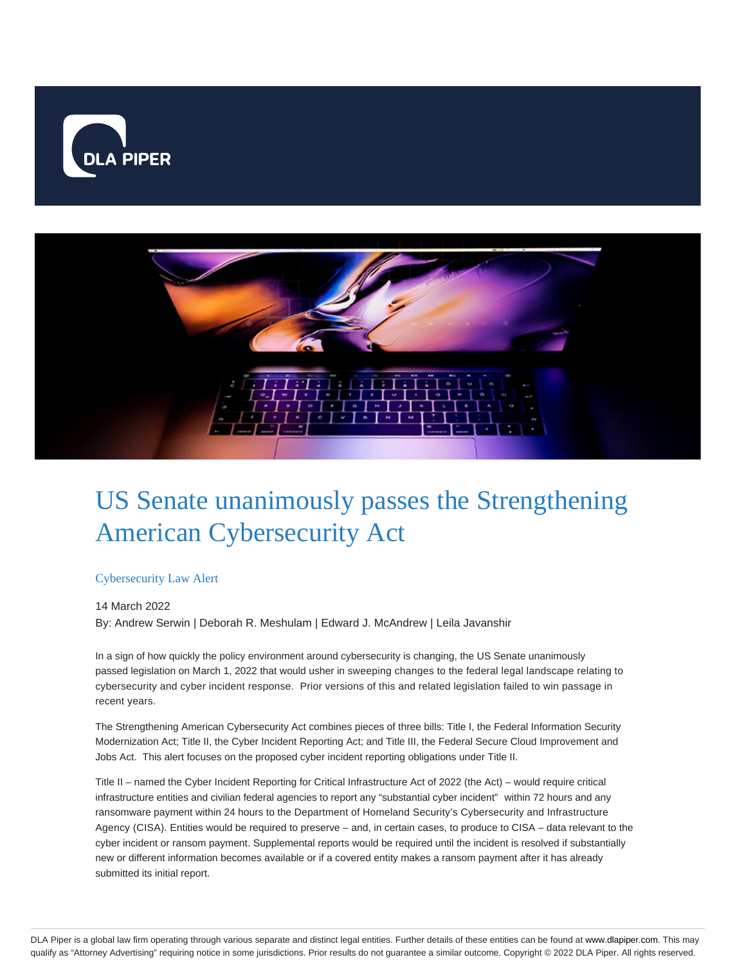



# US Senate unanimously passes the Strengthening American Cybersecurity Act

### Cybersecurity Law Alert

14 March 2022 By: Andrew Serwin | Deborah R. Meshulam | Edward J. McAndrew | Leila Javanshir

In a sign of how quickly the policy environment around cybersecurity is changing, the US Senate unanimously passed legislation on March 1, 2022 that would usher in sweeping changes to the federal legal landscape relating to cybersecurity and cyber incident response. Prior versions of this and related legislation failed to win passage in recent years.

The Strengthening American Cybersecurity Act combines pieces of three bills: Title I, the Federal Information Security Modernization Act; Title II, the Cyber Incident Reporting Act; and Title III, the Federal Secure Cloud Improvement and Jobs Act. This alert focuses on the proposed cyber incident reporting obligations under Title II.

Title II – named the Cyber Incident Reporting for Critical Infrastructure Act of 2022 (the Act) – would require critical infrastructure entities and civilian federal agencies to report any "substantial cyber incident" within 72 hours and any ransomware payment within 24 hours to the Department of Homeland Security's Cybersecurity and Infrastructure Agency (CISA). Entities would be required to preserve – and, in certain cases, to produce to CISA – data relevant to the cyber incident or ransom payment. Supplemental reports would be required until the incident is resolved if substantially new or different information becomes available or if a covered entity makes a ransom payment after it has already submitted its initial report.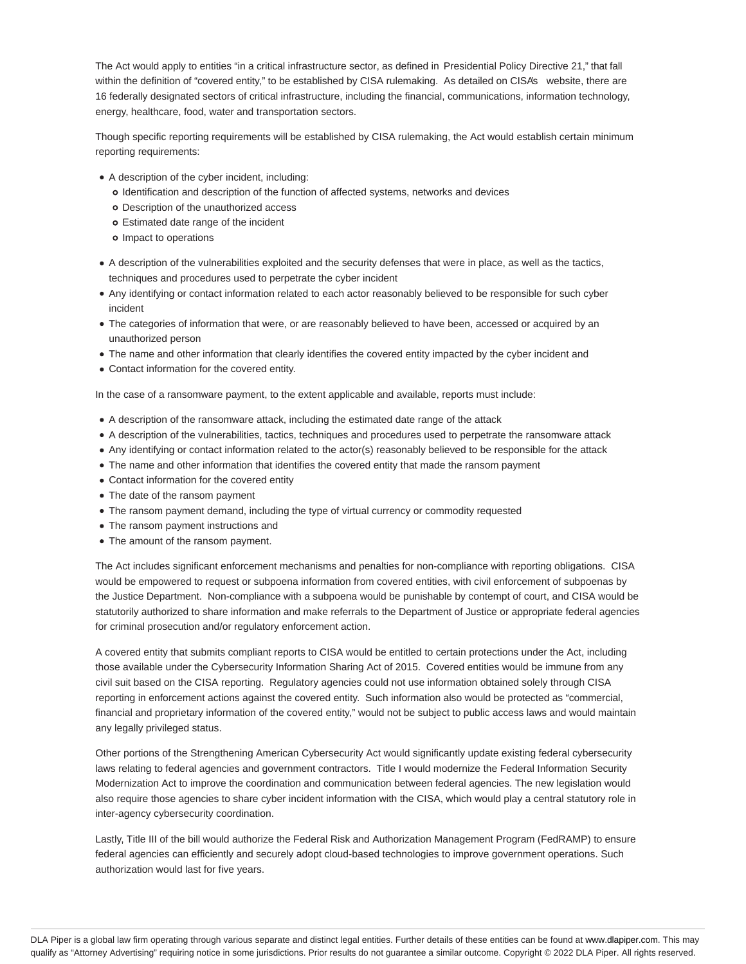The Act would apply to entities "in a critical infrastructure sector, as defined in Presidential Policy Directive 21," that fall within the definition of "covered entity," to be established by CISA rulemaking. As detailed on CISA's website, there are 16 federally designated sectors of critical infrastructure, including the financial, communications, information technology, energy, healthcare, food, water and transportation sectors.

Though specific reporting requirements will be established by CISA rulemaking, the Act would establish certain minimum reporting requirements:

- A description of the cyber incident, including:
	- o Identification and description of the function of affected systems, networks and devices
	- Description of the unauthorized access
	- Estimated date range of the incident
	- o Impact to operations
- A description of the vulnerabilities exploited and the security defenses that were in place, as well as the tactics, techniques and procedures used to perpetrate the cyber incident
- Any identifying or contact information related to each actor reasonably believed to be responsible for such cyber incident
- The categories of information that were, or are reasonably believed to have been, accessed or acquired by an unauthorized person
- The name and other information that clearly identifies the covered entity impacted by the cyber incident and
- Contact information for the covered entity.

In the case of a ransomware payment, to the extent applicable and available, reports must include:

- A description of the ransomware attack, including the estimated date range of the attack
- A description of the vulnerabilities, tactics, techniques and procedures used to perpetrate the ransomware attack
- Any identifying or contact information related to the actor(s) reasonably believed to be responsible for the attack
- The name and other information that identifies the covered entity that made the ransom payment
- Contact information for the covered entity
- The date of the ransom payment
- The ransom payment demand, including the type of virtual currency or commodity requested
- The ransom payment instructions and
- The amount of the ransom payment.

The Act includes significant enforcement mechanisms and penalties for non-compliance with reporting obligations. CISA would be empowered to request or subpoena information from covered entities, with civil enforcement of subpoenas by the Justice Department. Non-compliance with a subpoena would be punishable by contempt of court, and CISA would be statutorily authorized to share information and make referrals to the Department of Justice or appropriate federal agencies for criminal prosecution and/or regulatory enforcement action.

A covered entity that submits compliant reports to CISA would be entitled to certain protections under the Act, including those available under the Cybersecurity Information Sharing Act of 2015. Covered entities would be immune from any civil suit based on the CISA reporting. Regulatory agencies could not use information obtained solely through CISA reporting in enforcement actions against the covered entity. Such information also would be protected as "commercial, financial and proprietary information of the covered entity," would not be subject to public access laws and would maintain any legally privileged status.

Other portions of the Strengthening American Cybersecurity Act would significantly update existing federal cybersecurity laws relating to federal agencies and government contractors. Title I would modernize the Federal Information Security Modernization Act to improve the coordination and communication between federal agencies. The new legislation would also require those agencies to share cyber incident information with the CISA, which would play a central statutory role in inter-agency cybersecurity coordination.

Lastly, Title III of the bill would authorize the Federal Risk and Authorization Management Program (FedRAMP) to ensure federal agencies can efficiently and securely adopt cloud-based technologies to improve government operations. Such authorization would last for five years.